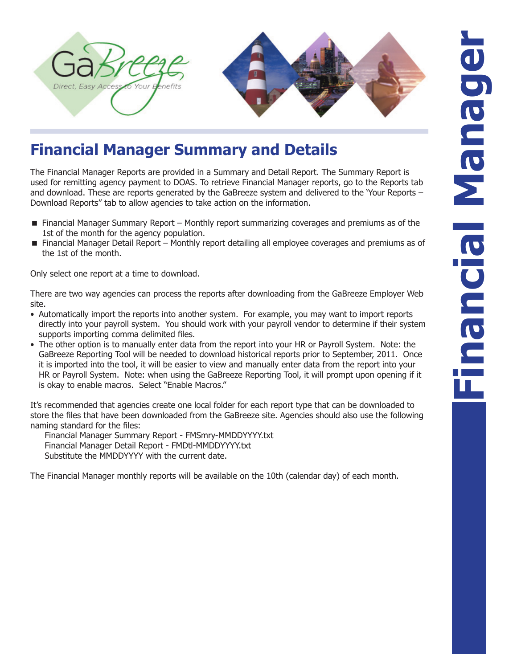

## **Financial Manager Summary and Details**

The Financial Manager Reports are provided in a Summary and Detail Report. The Summary Report is used for remitting agency payment to DOAS. To retrieve Financial Manager reports, go to the Reports tab and download. These are reports generated by the GaBreeze system and delivered to the 'Your Reports – Download Reports" tab to allow agencies to take action on the information.

- Financial Manager Summary Report Monthly report summarizing coverages and premiums as of the 1st of the month for the agency population.
- Financial Manager Detail Report Monthly report detailing all employee coverages and premiums as of the 1st of the month.

Only select one report at a time to download.

There are two way agencies can process the reports after downloading from the GaBreeze Employer Web site.

- Automatically import the reports into another system. For example, you may want to import reports directly into your payroll system. You should work with your payroll vendor to determine if their system supports importing comma delimited files.
- The other option is to manually enter data from the report into your HR or Payroll System. Note: the GaBreeze Reporting Tool will be needed to download historical reports prior to September, 2011. Once it is imported into the tool, it will be easier to view and manually enter data from the report into your HR or Payroll System. Note: when using the GaBreeze Reporting Tool, it will prompt upon opening if it is okay to enable macros. Select "Enable Macros."

It's recommended that agencies create one local folder for each report type that can be downloaded to store the files that have been downloaded from the GaBreeze site. Agencies should also use the following naming standard for the files:

Financial Manager Summary Report - FMSmry-MMDDYYYY.txt Financial Manager Detail Report - FMDtl-MMDDYYYY.txt Substitute the MMDDYYYY with the current date.

The Financial Manager monthly reports will be available on the 10th (calendar day) of each month.